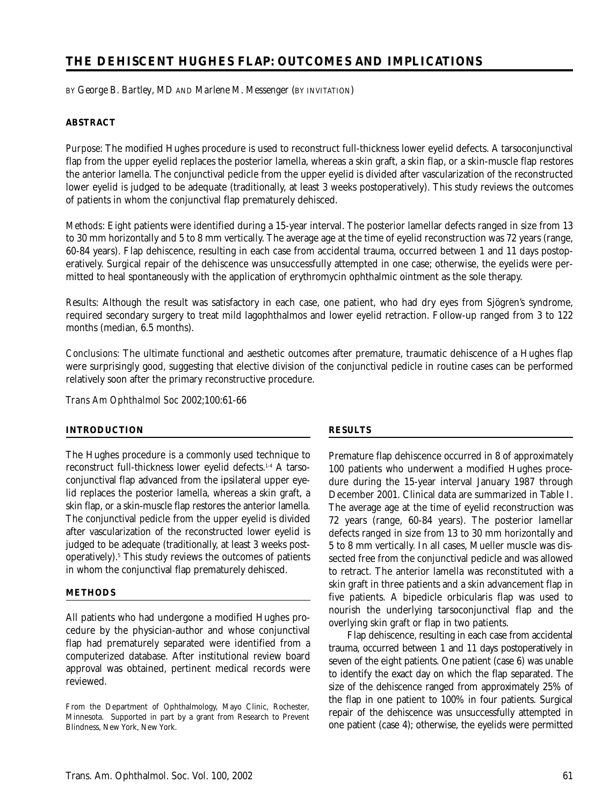# **THE DEHISCENT HUGHES FLAP: OUTCOMES AND IMPLICATIONS**

BY *George B. Bartley, MD* AND *Marlene M. Messenger* (BY INVITATION)

# **ABSTRACT**

*Purpose*: The modified Hughes procedure is used to reconstruct full-thickness lower eyelid defects. A tarsoconjunctival flap from the upper eyelid replaces the posterior lamella, whereas a skin graft, a skin flap, or a skin-muscle flap restores the anterior lamella. The conjunctival pedicle from the upper eyelid is divided after vascularization of the reconstructed lower eyelid is judged to be adequate (traditionally, at least 3 weeks postoperatively). This study reviews the outcomes of patients in whom the conjunctival flap prematurely dehisced.

*Methods*: Eight patients were identified during a 15-year interval. The posterior lamellar defects ranged in size from 13 to 30 mm horizontally and 5 to 8 mm vertically. The average age at the time of eyelid reconstruction was 72 years (range, 60-84 years). Flap dehiscence, resulting in each case from accidental trauma, occurred between 1 and 11 days postoperatively. Surgical repair of the dehiscence was unsuccessfully attempted in one case; otherwise, the eyelids were permitted to heal spontaneously with the application of erythromycin ophthalmic ointment as the sole therapy.

*Results*: Although the result was satisfactory in each case, one patient, who had dry eyes from Sjögren's syndrome, required secondary surgery to treat mild lagophthalmos and lower eyelid retraction. Follow-up ranged from 3 to 122 months (median, 6.5 months).

*Conclusions*: The ultimate functional and aesthetic outcomes after premature, traumatic dehiscence of a Hughes flap were surprisingly good, suggesting that elective division of the conjunctival pedicle in routine cases can be performed relatively soon after the primary reconstructive procedure.

*Trans Am Ophthalmol Soc* 2002;100:61-66

# **INTRODUCTION**

The Hughes procedure is a commonly used technique to reconstruct full-thickness lower eyelid defects.1-4 A tarsoconjunctival flap advanced from the ipsilateral upper eyelid replaces the posterior lamella, whereas a skin graft, a skin flap, or a skin-muscle flap restores the anterior lamella. The conjunctival pedicle from the upper eyelid is divided after vascularization of the reconstructed lower eyelid is judged to be adequate (traditionally, at least 3 weeks postoperatively).5 This study reviews the outcomes of patients in whom the conjunctival flap prematurely dehisced.

# **METHODS**

All patients who had undergone a modified Hughes procedure by the physician-author and whose conjunctival flap had prematurely separated were identified from a computerized database. After institutional review board approval was obtained, pertinent medical records were reviewed.

From the Department of Ophthalmology, Mayo Clinic, Rochester, Minnesota. Supported in part by a grant from Research to Prevent Blindness, New York, New York.

# **RESULTS**

Premature flap dehiscence occurred in 8 of approximately 100 patients who underwent a modified Hughes procedure during the 15-year interval January 1987 through December 2001. Clinical data are summarized in Table I. The average age at the time of eyelid reconstruction was 72 years (range, 60-84 years). The posterior lamellar defects ranged in size from 13 to 30 mm horizontally and 5 to 8 mm vertically. In all cases, Mueller muscle was dissected free from the conjunctival pedicle and was allowed to retract. The anterior lamella was reconstituted with a skin graft in three patients and a skin advancement flap in five patients. A bipedicle orbicularis flap was used to nourish the underlying tarsoconjunctival flap and the overlying skin graft or flap in two patients.

Flap dehiscence, resulting in each case from accidental trauma, occurred between 1 and 11 days postoperatively in seven of the eight patients. One patient (case 6) was unable to identify the exact day on which the flap separated. The size of the dehiscence ranged from approximately 25% of the flap in one patient to 100% in four patients. Surgical repair of the dehiscence was unsuccessfully attempted in one patient (case 4); otherwise, the eyelids were permitted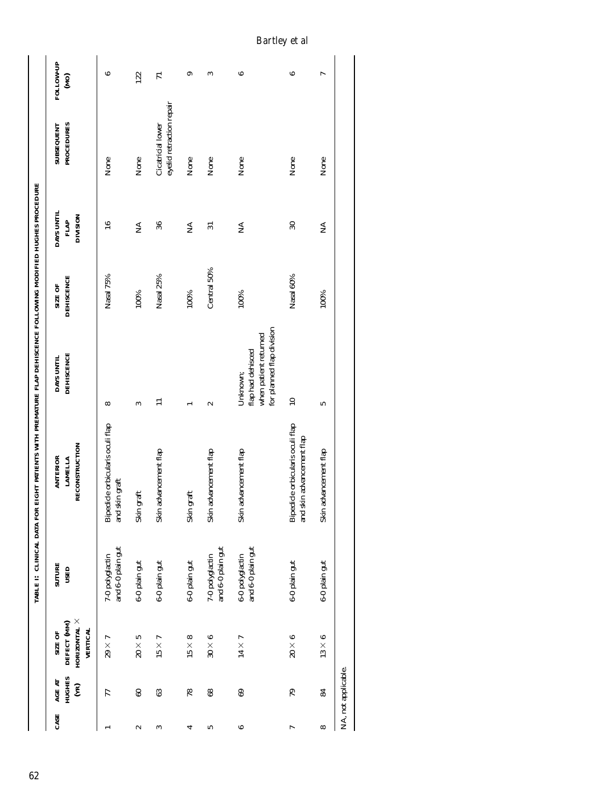| CASE     | <b>HUGHES</b><br>AGE AT<br>$\mathbf{E}$ | HORIZONTAL $\times$<br>DEFECT (MM)<br><b>VERTICAL</b><br>SIZE OF | <b>SUTURE</b><br>USED                | RECONSTRUCTION<br><b>ANTERIOR</b><br><b>LAMELLA</b>           | <b>DEHISCENCE</b><br>DAYS UNTIL                                                     | <b>DEHISCENCE</b><br>SIZE OF | DAYS UNTIL<br><b>DIVISION</b><br>FLAP | <b>PROCEDURES</b><br><b>SUBSEQUENT</b>        | FOLLOW-UP<br>(0M) |
|----------|-----------------------------------------|------------------------------------------------------------------|--------------------------------------|---------------------------------------------------------------|-------------------------------------------------------------------------------------|------------------------------|---------------------------------------|-----------------------------------------------|-------------------|
|          | 77                                      | $29\times7$                                                      | and 6-0 plain gut<br>7-0 polyglactin | Bipedicle orbicularis oculi flap<br>and skin graft            | $\infty$                                                                            | Nasal 75%                    | $\mathbf{16}$                         | None                                          |                   |
| 2        | 60                                      | $20\times5$                                                      | 6-0 plain gut                        | Skin graft                                                    | S                                                                                   | 100%                         | Ź                                     | None                                          | 122               |
| S        | 63                                      | $15 \times 7$                                                    | 6-0 plain gut                        | Skin advancement flap                                         |                                                                                     | Nasal 25%                    | 36                                    | eyelid retraction repair<br>Cicatricial lower |                   |
| ↵        | 78                                      | $15 \times 8$                                                    | $6-0$ plain gut                      | Skin graft                                                    |                                                                                     | 100%                         | Ź                                     | None                                          |                   |
| S        | 8 <sup>o</sup>                          | $30 \times 6$                                                    | and 6-0 plain gut<br>7-0 polyglactin | Skin advancement flap                                         | $\sim$                                                                              | Central 50%                  | $\overline{31}$                       | None                                          |                   |
| 6        | 69                                      | $14 \times 7$                                                    | and 6-0 plain gut<br>6-0 polyglactin | Skin advancement flap                                         | for planned flap division<br>when patient returned<br>flap had dehisced<br>Unknown; | 100%                         | Ź                                     | None                                          |                   |
| r        | 79                                      | $20\times 6$                                                     | 6-0 plain gut                        | Bipedicle orbicularis oculi flap<br>and skin advancement flap | $\equiv$                                                                            | Nasal 60%                    | $\mathcal{S}$                         | None                                          |                   |
| $\infty$ | 84                                      | $13 \times 6$                                                    | 6-0 plain gut                        | Skin advancement flap                                         | 5                                                                                   | 100%                         | Ź                                     | None                                          |                   |

*Bartley et al*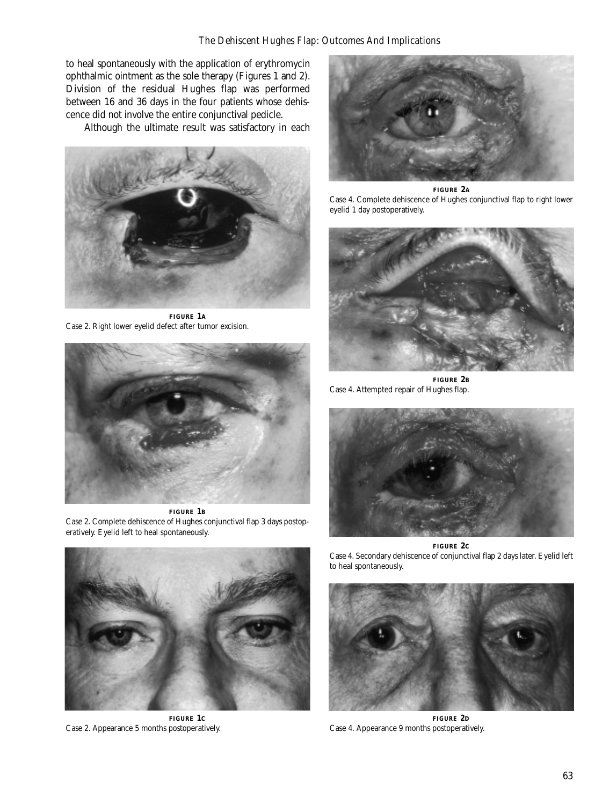to heal spontaneously with the application of erythromycin ophthalmic ointment as the sole therapy (Figures 1 and 2). Division of the residual Hughes flap was performed between 16 and 36 days in the four patients whose dehiscence did not involve the entire conjunctival pedicle.

Although the ultimate result was satisfactory in each



**FIGURE 1A** Case 2. Right lower eyelid defect after tumor excision.



**FIGURE 1B** Case 2. Complete dehiscence of Hughes conjunctival flap 3 days postoperatively. Eyelid left to heal spontaneously.



**FIGURE 2A** Case 4. Complete dehiscence of Hughes conjunctival flap to right lower eyelid 1 day postoperatively.



**FIGURE 2B** Case 4. Attempted repair of Hughes flap.





**FIGURE 1C** Case 2. Appearance 5 months postoperatively.

Case 4. Secondary dehiscence of conjunctival flap 2 days later. Eyelid left to heal spontaneously.



**FIGURE 2D** Case 4. Appearance 9 months postoperatively.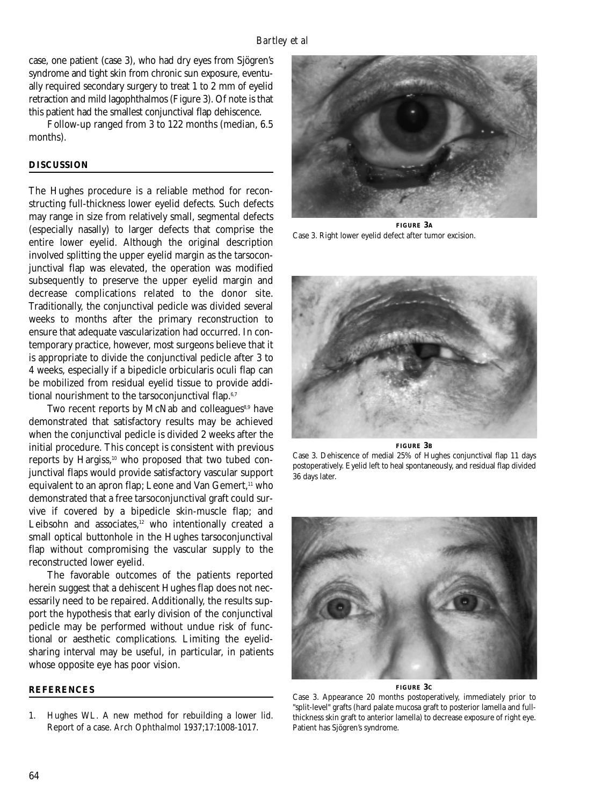case, one patient (case 3), who had dry eyes from Sjögren's syndrome and tight skin from chronic sun exposure, eventually required secondary surgery to treat 1 to 2 mm of eyelid retraction and mild lagophthalmos (Figure 3). Of note is that this patient had the smallest conjunctival flap dehiscence.

Follow-up ranged from 3 to 122 months (median, 6.5 months).

# **DISCUSSION**

The Hughes procedure is a reliable method for reconstructing full-thickness lower eyelid defects. Such defects may range in size from relatively small, segmental defects (especially nasally) to larger defects that comprise the entire lower eyelid. Although the original description involved splitting the upper eyelid margin as the tarsoconjunctival flap was elevated, the operation was modified subsequently to preserve the upper eyelid margin and decrease complications related to the donor site. Traditionally, the conjunctival pedicle was divided several weeks to months after the primary reconstruction to ensure that adequate vascularization had occurred. In contemporary practice, however, most surgeons believe that it is appropriate to divide the conjunctival pedicle after 3 to 4 weeks, especially if a bipedicle orbicularis oculi flap can be mobilized from residual eyelid tissue to provide additional nourishment to the tarsoconjunctival flap.<sup>6,7</sup>

Two recent reports by McNab and colleagues $8,9$  have demonstrated that satisfactory results may be achieved when the conjunctival pedicle is divided 2 weeks after the initial procedure. This concept is consistent with previous reports by Hargiss,<sup>10</sup> who proposed that two tubed conjunctival flaps would provide satisfactory vascular support equivalent to an apron flap; Leone and Van Gemert,<sup>11</sup> who demonstrated that a free tarsoconjunctival graft could survive if covered by a bipedicle skin-muscle flap; and Leibsohn and associates,<sup>12</sup> who intentionally created a small optical buttonhole in the Hughes tarsoconjunctival flap without compromising the vascular supply to the reconstructed lower eyelid.

The favorable outcomes of the patients reported herein suggest that a dehiscent Hughes flap does not necessarily need to be repaired. Additionally, the results support the hypothesis that early division of the conjunctival pedicle may be performed without undue risk of functional or aesthetic complications. Limiting the eyelidsharing interval may be useful, in particular, in patients whose opposite eye has poor vision.

#### **REFERENCES**

1. Hughes WL. A new method for rebuilding a lower lid. Report of a case. *Arch Ophthalmol* 1937;17:1008-1017.



**FIGURE 3A** Case 3. Right lower eyelid defect after tumor excision.



#### **FIGURE 3B** Case 3. Dehiscence of medial 25% of Hughes conjunctival flap 11 days postoperatively. Eyelid left to heal spontaneously, and residual flap divided

36 days later.



**FIGURE 3C**

Case 3. Appearance 20 months postoperatively, immediately prior to "split-level" grafts (hard palate mucosa graft to posterior lamella and fullthickness skin graft to anterior lamella) to decrease exposure of right eye. Patient has Sjögren's syndrome.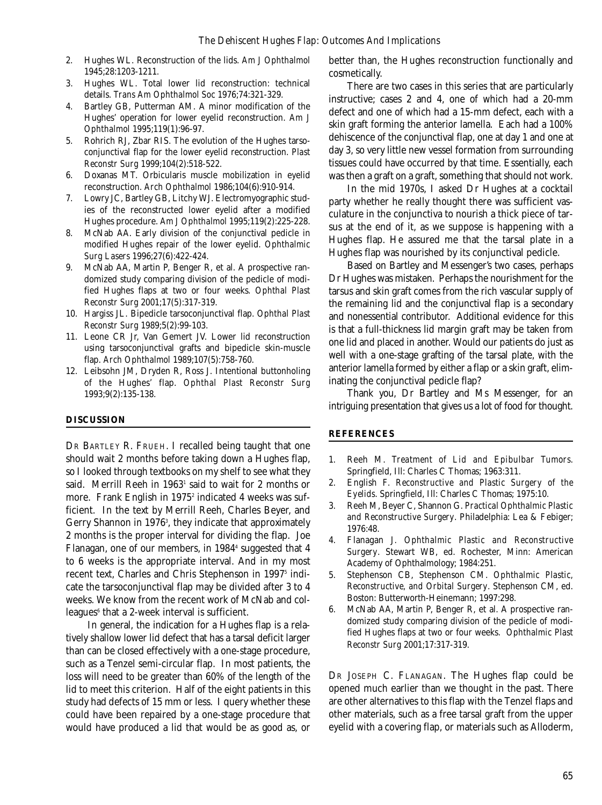- 2. Hughes WL. Reconstruction of the lids. *Am J Ophthalmol* 1945;28:1203-1211.
- 3. Hughes WL. Total lower lid reconstruction: technical details. *Trans Am Ophthalmol Soc* 1976;74:321-329.
- 4. Bartley GB, Putterman AM. A minor modification of the Hughes' operation for lower eyelid reconstruction. *Am J Ophthalmol* 1995;119(1):96-97.
- 5. Rohrich RJ, Zbar RIS. The evolution of the Hughes tarsoconjunctival flap for the lower eyelid reconstruction. *Plast Reconstr Surg* 1999;104(2):518-522.
- 6. Doxanas MT. Orbicularis muscle mobilization in eyelid reconstruction. *Arch Ophthalmol* 1986;104(6):910-914.
- 7. Lowry JC, Bartley GB, Litchy WJ. Electromyographic studies of the reconstructed lower eyelid after a modified Hughes procedure. *Am J Ophthalmol* 1995;119(2):225-228.
- 8. McNab AA. Early division of the conjunctival pedicle in modified Hughes repair of the lower eyelid. *Ophthalmic Surg Lasers* 1996;27(6):422-424.
- 9. McNab AA, Martin P, Benger R, et al. A prospective randomized study comparing division of the pedicle of modified Hughes flaps at two or four weeks. *Ophthal Plast Reconstr Surg* 2001;17(5):317-319.
- 10. Hargiss JL. Bipedicle tarsoconjunctival flap. *Ophthal Plast Reconstr Surg* 1989;5(2):99-103.
- 11. Leone CR Jr, Van Gemert JV. Lower lid reconstruction using tarsoconjunctival grafts and bipedicle skin-muscle flap. *Arch Ophthalmol* 1989;107(5):758-760.
- 12. Leibsohn JM, Dryden R, Ross J. Intentional buttonholing of the Hughes' flap. *Ophthal Plast Reconstr Surg* 1993;9(2):135-138.

# **DISCUSSION**

DR BARTLEY R. FRUEH. I recalled being taught that one should wait 2 months before taking down a Hughes flap, so I looked through textbooks on my shelf to see what they said. Merrill Reeh in 1963<sup>1</sup> said to wait for 2 months or more. Frank English in 1975<sup>2</sup> indicated 4 weeks was sufficient. In the text by Merrill Reeh, Charles Beyer, and Gerry Shannon in 1976<sup>3</sup>, they indicate that approximately 2 months is the proper interval for dividing the flap. Joe Flanagan, one of our members, in 1984<sup>4</sup> suggested that 4 to 6 weeks is the appropriate interval. And in my most recent text, Charles and Chris Stephenson in 1997<sup>5</sup> indicate the tarsoconjunctival flap may be divided after 3 to 4 weeks. We know from the recent work of McNab and colleagues $6$  that a 2-week interval is sufficient.

In general, the indication for a Hughes flap is a relatively shallow lower lid defect that has a tarsal deficit larger than can be closed effectively with a one-stage procedure, such as a Tenzel semi-circular flap. In most patients, the loss will need to be greater than 60% of the length of the lid to meet this criterion. Half of the eight patients in this study had defects of 15 mm or less. I query whether these could have been repaired by a one-stage procedure that would have produced a lid that would be as good as, or

better than, the Hughes reconstruction functionally and cosmetically.

There are two cases in this series that are particularly instructive; cases 2 and 4, one of which had a 20-mm defect and one of which had a 15-mm defect, each with a skin graft forming the anterior lamella. Each had a 100% dehiscence of the conjunctival flap, one at day 1 and one at day 3, so very little new vessel formation from surrounding tissues could have occurred by that time. Essentially, each was then a graft on a graft, something that should not work.

In the mid 1970s, I asked Dr Hughes at a cocktail party whether he really thought there was sufficient vasculature in the conjunctiva to nourish a thick piece of tarsus at the end of it, as we suppose is happening with a Hughes flap. He assured me that the tarsal plate in a Hughes flap was nourished by its conjunctival pedicle.

Based on Bartley and Messenger's two cases, perhaps Dr Hughes was mistaken. Perhaps the nourishment for the tarsus and skin graft comes from the rich vascular supply of the remaining lid and the conjunctival flap is a secondary and nonessential contributor. Additional evidence for this is that a full-thickness lid margin graft may be taken from one lid and placed in another. Would our patients do just as well with a one-stage grafting of the tarsal plate, with the anterior lamella formed by either a flap or a skin graft, eliminating the conjunctival pedicle flap?

Thank you, Dr Bartley and Ms Messenger, for an intriguing presentation that gives us a lot of food for thought.

#### **REFERENCES**

- 1. Reeh M. *Treatment of Lid and Epibulbar Tumors*. Springfield, Ill: Charles C Thomas; 1963:311.
- 2. English F. *Reconstructive and Plastic Surgery of the Eyelids*. Springfield, Ill: Charles C Thomas; 1975:10.
- 3. Reeh M, Beyer C, Shannon G. *Practical Ophthalmic Plastic and Reconstructive Surgery*. Philadelphia: Lea & Febiger; 1976:48.
- 4. Flanagan J*. Ophthalmic Plastic and Reconstructive Surgery*. Stewart WB, ed. Rochester, Minn: American Academy of Ophthalmology; 1984:251.
- 5. Stephenson CB, Stephenson CM. *Ophthalmic Plastic, Reconstructive, and Orbital Surgery*. Stephenson CM, ed. Boston: Butterworth-Heinemann; 1997:298.
- 6. McNab AA, Martin P, Benger R, et al. A prospective randomized study comparing division of the pedicle of modified Hughes flaps at two or four weeks. *Ophthalmic Plast Reconstr Surg* 2001;17:317-319.

DR JOSEPH C. FLANAGAN. The Hughes flap could be opened much earlier than we thought in the past. There are other alternatives to this flap with the Tenzel flaps and other materials, such as a free tarsal graft from the upper eyelid with a covering flap, or materials such as Alloderm,